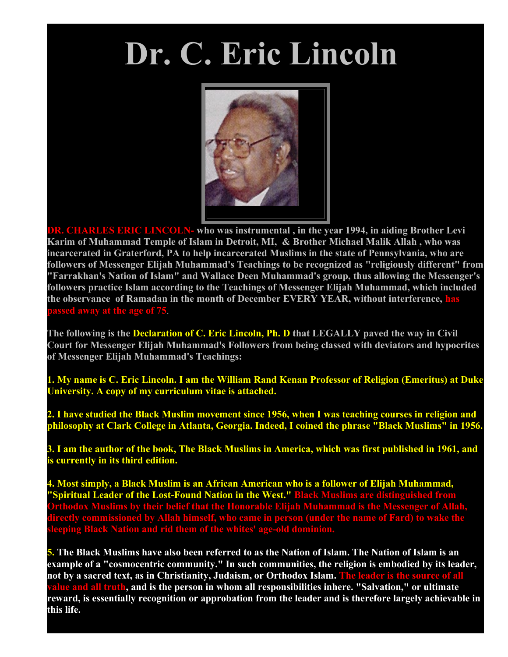## **Dr. C. Eric Lincoln**



**DR. CHARLES ERIC LINCOLN- who was instrumental , in the year 1994, in aiding Brother Levi Karim of Muhammad Temple of Islam in Detroit, MI, & Brother Michael Malik Allah , who was incarcerated in Graterford, PA to help incarcerated Muslims in the state of Pennsylvania, who are followers of Messenger Elijah Muhammad's Teachings to be recognized as "religiously different" from "Farrakhan's Nation of Islam" and Wallace Deen Muhammad's group, thus allowing the Messenger's followers practice Islam according to the Teachings of Messenger Elijah Muhammad, which included the observance of Ramadan in the month of December EVERY YEAR, without interference, has passed away at the age of 75**.

**The following is the Declaration of C. Eric Lincoln, Ph. D that LEGALLY paved the way in Civil Court for Messenger Elijah Muhammad's Followers from being classed with deviators and hypocrites of Messenger Elijah Muhammad's Teachings:**

**1. My name is C. Eric Lincoln. I am the William Rand Kenan Professor of Religion (Emeritus) at Duke University. A copy of my curriculum vitae is attached.**

**2. I have studied the Black Muslim movement since 1956, when I was teaching courses in religion and philosophy at Clark College in Atlanta, Georgia. Indeed, I coined the phrase "Black Muslims" in 1956.**

**3. I am the author of the book, The Black Muslims in America, which was first published in 1961, and is currently in its third edition.**

**4. Most simply, a Black Muslim is an African American who is a follower of Elijah Muhammad, "Spiritual Leader of the Lost-Found Nation in the West." Black Muslims are distinguished from Orthodox Muslims by their belief that the Honorable Elijah Muhammad is the Messenger of Allah, directly commissioned by Allah himself, who came in person (under the name of Fard) to wake the leeping Black Nation and rid them of the whites' age** 

**5. The Black Muslims have also been referred to as the Nation of Islam. The Nation of Islam is an example of a "cosmocentric community." In such communities, the religion is embodied by its leader, not by a sacred text, as in Christianity, Judaism, or Orthodox Islam. The leader is the source of all <u>lue and all truth, and is</u> the person in whom all responsibilities inhere. "Salvation," or ultimate reward, is essentially recognition or approbation from the leader and is therefore largely achievable in this life.**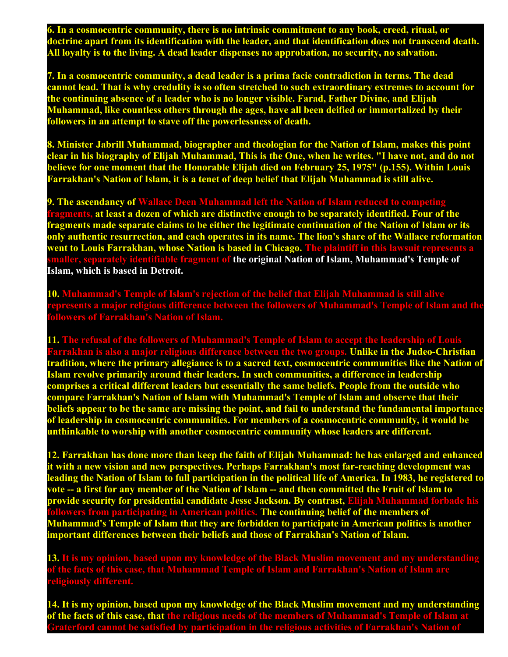**6. In a cosmocentric community, there is no intrinsic commitment to any book, creed, ritual, or doctrine apart from its identification with the leader, and that identification does not transcend death. All loyalty is to the living. A dead leader dispenses no approbation, no security, no salvation.**

**7. In a cosmocentric community, a dead leader is a prima facie contradiction in terms. The dead cannot lead. That is why credulity is so often stretched to such extraordinary extremes to account for the continuing absence of a leader who is no longer visible. Farad, Father Divine, and Elijah Muhammad, like countless others through the ages, have all been deified or immortalized by their followers in an attempt to stave off the powerlessness of death.**

**8. Minister Jabrill Muhammad, biographer and theologian for the Nation of Islam, makes this point clear in his biography of Elijah Muhammad, This is the One, when he writes. "I have not, and do not believe for one moment that the Honorable Elijah died on February 25, 1975" (p.155). Within Louis Farrakhan's Nation of Islam, it is a tenet of deep belief that Elijah Muhammad is still alive.**

**9. The ascendancy of Wallace Deen Muhammad left the Nation of Islam reduced to comp fragments, at least a dozen of which are distinctive enough to be separately identified. Four of the fragments made separate claims to be either the legitimate continuation of the Nation of Islam or its only authentic resurrection, and each operates in its name. The lion's share of the Wallace reformation** went to Louis Farrakhan, whose Nation is based in Chicago. The plaintiff in this lawsuit repr identifiable fragment of the original Nation of Islam, Muhammad's Temple of **Islam, which is based in Detroit.**

**10. Muhammad's Temple of Islam's rejection of the belief that Elijah Muhammad is still alive represents a major religious difference between the followers of Muhammad's Temple of Islam and the followers of Farrakhan's Nation of Islam.**

**11. The refusal of the followers of Muhammad's Temple of Islam to accept the leadership of Louis Farrakhan is also a major religious difference between the two groups. Unlike in the Judeo-Christian tradition, where the primary allegiance is to a sacred text, cosmocentric communities like the Nation of Islam revolve primarily around their leaders. In such communities, a difference in leadership comprises a critical different leaders but essentially the same beliefs. People from the outside who compare Farrakhan's Nation of Islam with Muhammad's Temple of Islam and observe that their beliefs appear to be the same are missing the point, and fail to understand the fundamental importance of leadership in cosmocentric communities. For members of a cosmocentric community, it would be unthinkable to worship with another cosmocentric community whose leaders are different.**

**12. Farrakhan has done more than keep the faith of Elijah Muhammad: he has enlarged and enhanced it with a new vision and new perspectives. Perhaps Farrakhan's most far-reaching development was leading the Nation of Islam to full participation in the political life of America. In 1983, he registered to vote -- a first for any member of the Nation of Islam -- and then committed the Fruit of Islam to provide security for presidential candidate Jesse Jackson. By contrast, Elijah Muhammad forbade his followers from participating in American politics. The continuing belief of the members of Muhammad's Temple of Islam that they are forbidden to participate in American politics is another important differences between their beliefs and those of Farrakhan's Nation of Islam.**

**13. It is my opinion, based upon my knowledge of the Black Muslim movement and my understanding of the facts of this case, that Muhammad Temple of Islam and Farrakhan's Nation of Islam are religiously different.**

**14. It is my opinion, based upon my knowledge of the Black Muslim movement and my understanding of the facts of this case, that the religious needs of the members of Muhammad's Temple of Islam at Graterford cannot be satisfied by participation in the religious activities of Farrakhan's Nation of**